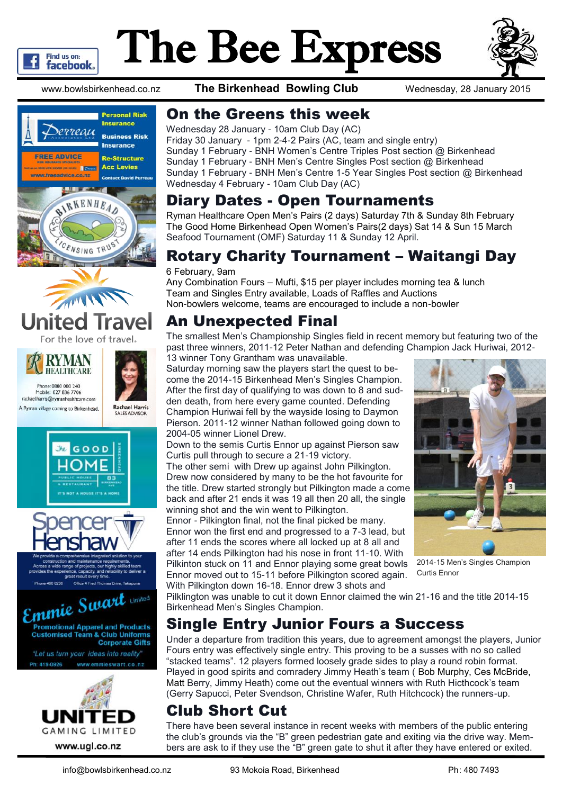

# The Bee Express



















www.bowlsbirkenhead.co.nz **The Birkenhead Bowling Club** Wednesday, 28 January 2015

#### On the Greens this week

Wednesday 28 January - 10am Club Day (AC) Friday 30 January - 1pm 2-4-2 Pairs (AC, team and single entry) Sunday 1 February - BNH Women's Centre Triples Post section @ Birkenhead Sunday 1 February - BNH Men's Centre Singles Post section @ Birkenhead Sunday 1 February - BNH Men's Centre 1-5 Year Singles Post section @ Birkenhead Wednesday 4 February - 10am Club Day (AC)

#### Diary Dates - Open Tournaments

Ryman Healthcare Open Men's Pairs (2 days) Saturday 7th & Sunday 8th February The Good Home Birkenhead Open Women's Pairs(2 days) Sat 14 & Sun 15 March Seafood Tournament (OMF) Saturday 11 & Sunday 12 April.

### Rotary Charity Tournament – Waitangi Day

#### 6 February, 9am

Any Combination Fours – Mufti, \$15 per player includes morning tea & lunch Team and Singles Entry available, Loads of Raffles and Auctions Non-bowlers welcome, teams are encouraged to include a non-bowler

#### An Unexpected Final

The smallest Men's Championship Singles field in recent memory but featuring two of the past three winners, 2011-12 Peter Nathan and defending Champion Jack Huriwai, 2012-

13 winner Tony Grantham was unavailable. Saturday morning saw the players start the quest to become the 2014-15 Birkenhead Men's Singles Champion. After the first day of qualifying to was down to 8 and sudden death, from here every game counted. Defending Champion Huriwai fell by the wayside losing to Daymon Pierson. 2011-12 winner Nathan followed going down to 2004-05 winner Lionel Drew.

Down to the semis Curtis Ennor up against Pierson saw Curtis pull through to secure a 21-19 victory.

The other semi with Drew up against John Pilkington. Drew now considered by many to be the hot favourite for the title. Drew started strongly but Pilkington made a come back and after 21 ends it was 19 all then 20 all, the single winning shot and the win went to Pilkington.

Ennor - Pilkington final, not the final picked be many. Ennor won the first end and progressed to a 7-3 lead, but after 11 ends the scores where all locked up at 8 all and after 14 ends Pilkington had his nose in front 11-10. With

Pilkinton stuck on 11 and Ennor playing some great bowls Ennor moved out to 15-11 before Pilkington scored again. With Pilkington down 16-18. Ennor drew 3 shots and



2014-15 Men's Singles Champion Curtis Ennor

Pilklington was unable to cut it down Ennor claimed the win 21-16 and the title 2014-15 Birkenhead Men's Singles Champion.

#### Single Entry Junior Fours a Success

Under a departure from tradition this years, due to agreement amongst the players, Junior Fours entry was effectively single entry. This proving to be a susses with no so called "stacked teams". 12 players formed loosely grade sides to play a round robin format. Played in good spirits and comradery Jimmy Heath's team ( Bob Murphy, Ces McBride, Matt Berry, Jimmy Heath) come out the eventual winners with Ruth Hicthcock's team (Gerry Sapucci, Peter Svendson, Christine Wafer, Ruth Hitchcock) the runners-up.

#### Club Short Cut

There have been several instance in recent weeks with members of the public entering the club's grounds via the "B" green pedestrian gate and exiting via the drive way. Members are ask to if they use the "B" green gate to shut it after they have entered or exited.